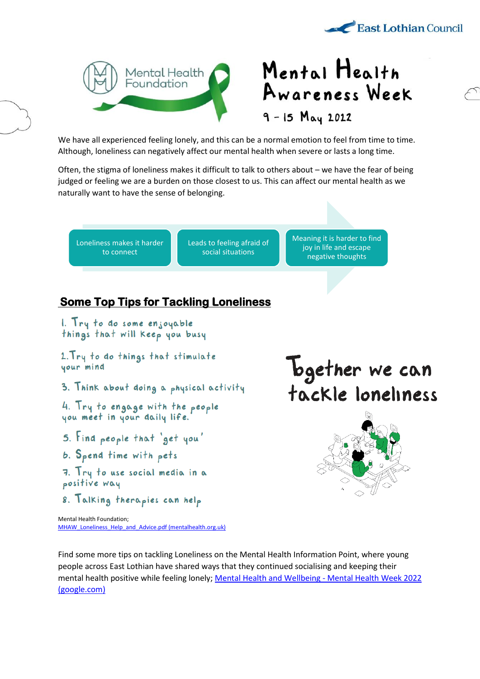



## Mental Health Awareness Week  $9 - 15$   $May 2022$

We have all experienced feeling lonely, and this can be a normal emotion to feel from time to time. Although, loneliness can negatively affect our mental health when severe or lasts a long time.

Often, the stigma of loneliness makes it difficult to talk to others about – we have the fear of being judged or feeling we are a burden on those closest to us. This can affect our mental health as we naturally want to have the sense of belonging.

Loneliness makes it harder to connect

Leads to feeling afraid of social situations

Meaning it is harder to find joy in life and escape negative thoughts

## **Some Top Tips for Tackling Loneliness**

1. Try to do some enjoyable things that will keep you busy

2. Try to do things that stimulate your mind

3. Think about doing a physical activity

4. Try to engage with the people<br>you meet in your daily life.

- 5. Find people that 'get you'
- b. Spend time with pets
- 7. Try to use social media in a positive way
- 8. Talking therapies can help

Mental Health Foundation; [MHAW\\_Loneliness\\_Help\\_and\\_Advice.pdf \(mentalhealth.org.uk\)](https://www.mentalhealth.org.uk/sites/default/files/MHAW_Loneliness_Help_and_Advice.pdf) **Together** we can tackle loneliness



Find some more tips on tackling Loneliness on the Mental Health Information Point, where young people across East Lothian have shared ways that they continued socialising and keeping their mental health positive while feeling lonely[; Mental Health and Wellbeing -](https://sites.google.com/edubuzz.org/mhwb-information-point/mental-health-week-2022) Mental Health Week 2022 [\(google.com\)](https://sites.google.com/edubuzz.org/mhwb-information-point/mental-health-week-2022)